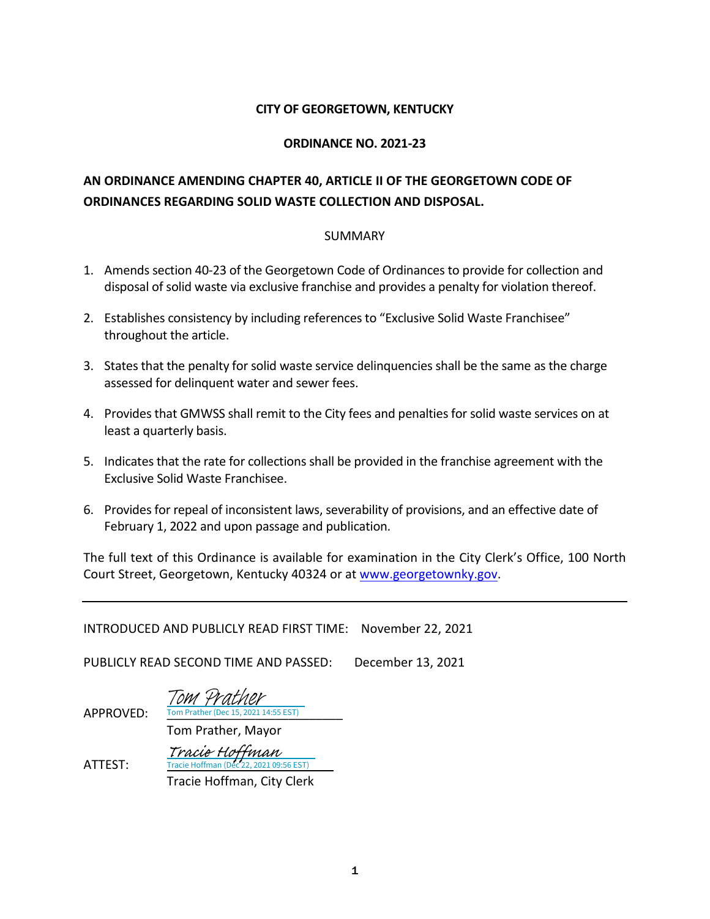## **CITY OF GEORGETOWN, KENTUCKY**

## **ORDINANCE NO. 2021-23**

## **AN ORDINANCE AMENDING CHAPTER 40, ARTICLE II OF THE GEORGETOWN CODE OF ORDINANCES REGARDING SOLID WASTE COLLECTION AND DISPOSAL.**

## SUMMARY

- 1. Amends section 40-23 of the Georgetown Code of Ordinances to provide for collection and disposal of solid waste via exclusive franchise and provides a penalty for violation thereof.
- 2. Establishes consistency by including references to "Exclusive Solid Waste Franchisee" throughout the article.
- 3. States that the penalty for solid waste service delinquencies shall be the same as the charge assessed for delinquent water and sewer fees.
- 4. Provides that GMWSS shall remit to the City fees and penalties for solid waste services on at least a quarterly basis.
- 5. Indicates that the rate for collections shall be provided in the franchise agreement with the Exclusive Solid Waste Franchisee.
- 6. Provides for repeal of inconsistent laws, severability of provisions, and an effective date of February 1, 2022 and upon passage and publication.

The full text of this Ordinance is available for examination in the City Clerk's Office, 100 North Court Street, Georgetown, Kentucky 40324 or at [www.georgetownky.gov.](http://www.georgetownky.gov/)

INTRODUCED AND PUBLICLY READ FIRST TIME: November 22, 2021

PUBLICLY READ SECOND TIME AND PASSED: December 13, 2021

APPROVED: Tom Prather (Dec 15, 2021 14:55 EST) Tom Prather

Tom Prather, Mayor

ATTEST: Tracie Hoffman, City Clerk [Tracie Hoffman](https://na1.documents.adobe.com/verifier?tx=CBJCHBCAABAAlbeciBp_6sJFde4Xc-uAUvbPvvLpNxKx)<br>Tracie Hoffman (Dec 22, 2021 09:56 EST)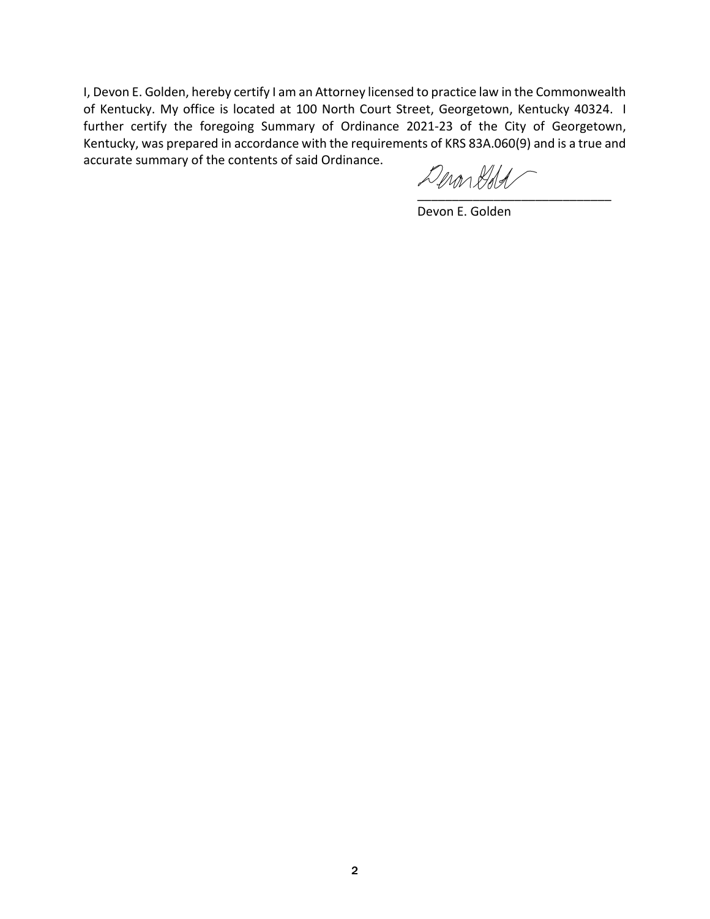I, Devon E. Golden, hereby certify I am an Attorney licensed to practice law in the Commonwealth of Kentucky. My office is located at 100 North Court Street, Georgetown, Kentucky 40324. I further certify the foregoing Summary of Ordinance 2021-23 of the City of Georgetown, Kentucky, was prepared in accordance with the requirements of KRS 83A.060(9) and is a true and accurate summary of the contents of said Ordinance.

[\\_\\_\\_\\_\\_\\_\\_\\_\\_\\_\\_\\_\\_\\_\\_\\_\\_\\_\\_\\_\\_\\_\\_\\_\\_\\_\\_\\_](https://adobefreeuserschannel.na1.documents.adobe.com/verifier?tx=CBJCHBCAABAAlbeciBp_6sJFde4Xc-uAUvbPvvLpNxKx)

Devon E. Golden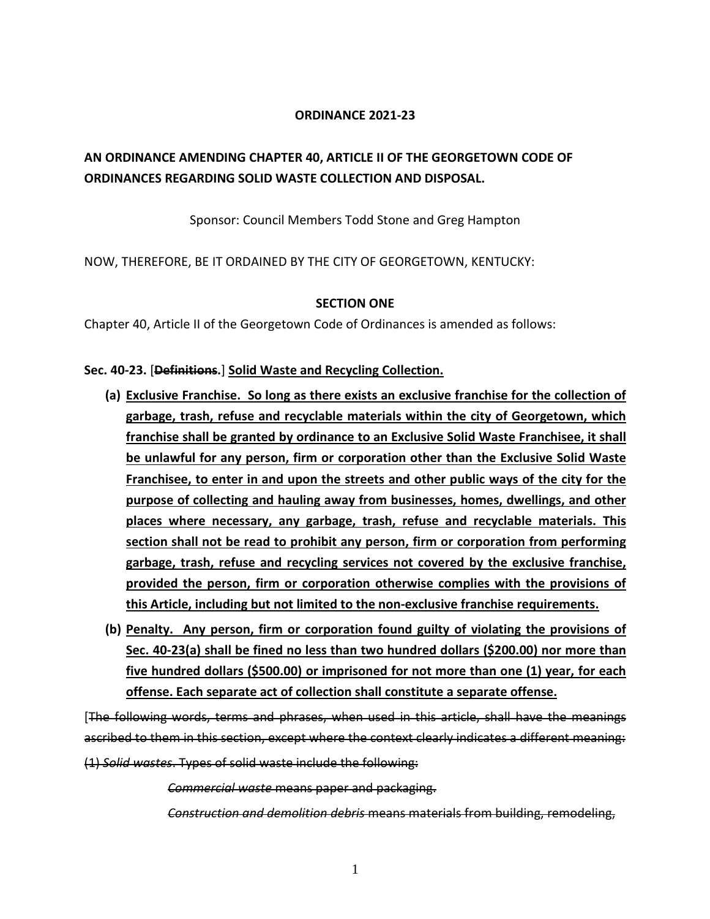## **ORDINANCE 2021-23**

## **AN ORDINANCE AMENDING CHAPTER 40, ARTICLE II OF THE GEORGETOWN CODE OF ORDINANCES REGARDING SOLID WASTE COLLECTION AND DISPOSAL.**

Sponsor: Council Members Todd Stone and Greg Hampton

NOW, THEREFORE, BE IT ORDAINED BY THE CITY OF GEORGETOWN, KENTUCKY:

## **SECTION ONE**

Chapter 40, Article II of the Georgetown Code of Ordinances is amended as follows:

## **Sec. 40-23.** [**Definitions.**] **Solid Waste and Recycling Collection.**

- **(a) Exclusive Franchise. So long as there exists an exclusive franchise for the collection of garbage, trash, refuse and recyclable materials within the city of Georgetown, which franchise shall be granted by ordinance to an Exclusive Solid Waste Franchisee, it shall be unlawful for any person, firm or corporation other than the Exclusive Solid Waste Franchisee, to enter in and upon the streets and other public ways of the city for the purpose of collecting and hauling away from businesses, homes, dwellings, and other places where necessary, any garbage, trash, refuse and recyclable materials. This section shall not be read to prohibit any person, firm or corporation from performing garbage, trash, refuse and recycling services not covered by the exclusive franchise, provided the person, firm or corporation otherwise complies with the provisions of this Article, including but not limited to the non-exclusive franchise requirements.**
- **(b) Penalty. Any person, firm or corporation found guilty of violating the provisions of Sec. 40-23(a) shall be fined no less than two hundred dollars (\$200.00) nor more than five hundred dollars (\$500.00) or imprisoned for not more than one (1) year, for each offense. Each separate act of collection shall constitute a separate offense.**

[The following words, terms and phrases, when used in this article, shall have the meanings ascribed to them in this section, except where the context clearly indicates a different meaning:

(1) *Solid wastes*. Types of solid waste include the following:

*Commercial waste* means paper and packaging.

*Construction and demolition debris* means materials from building, remodeling,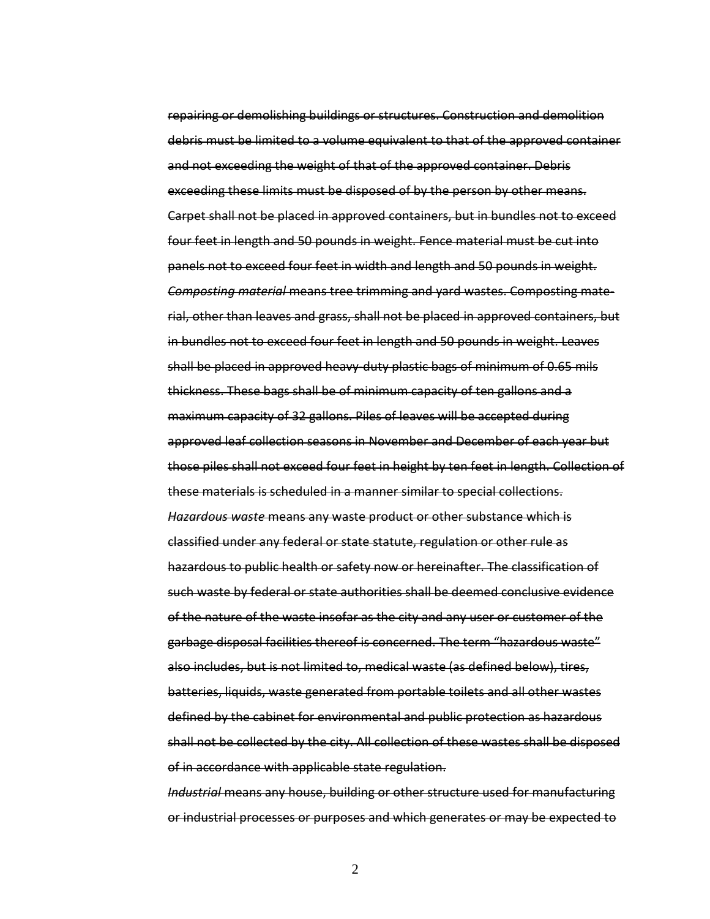repairing or demolishing buildings or structures. Construction and demolition debris must be limited to a volume equivalent to that of the approved container and not exceeding the weight of that of the approved container. Debris exceeding these limits must be disposed of by the person by other means. Carpet shall not be placed in approved containers, but in bundles not to exceed four feet in length and 50 pounds in weight. Fence material must be cut into panels not to exceed four feet in width and length and 50 pounds in weight. *Composting material* means tree trimming and yard wastes. Composting material, other than leaves and grass, shall not be placed in approved containers, but in bundles not to exceed four feet in length and 50 pounds in weight. Leaves shall be placed in approved heavy-duty plastic bags of minimum of 0.65 mils thickness. These bags shall be of minimum capacity of ten gallons and a maximum capacity of 32 gallons. Piles of leaves will be accepted during approved leaf collection seasons in November and December of each year but those piles shall not exceed four feet in height by ten feet in length. Collection of these materials is scheduled in a manner similar to special collections. *Hazardous waste* means any waste product or other substance which is classified under any federal or state statute, regulation or other rule as hazardous to public health or safety now or hereinafter. The classification of such waste by federal or state authorities shall be deemed conclusive evidence of the nature of the waste insofar as the city and any user or customer of the garbage disposal facilities thereof is concerned. The term "hazardous waste" also includes, but is not limited to, medical waste (as defined below), tires, batteries, liquids, waste generated from portable toilets and all other wastes defined by the cabinet for environmental and public protection as hazardous shall not be collected by the city. All collection of these wastes shall be disposed of in accordance with applicable state regulation.

*Industrial* means any house, building or other structure used for manufacturing or industrial processes or purposes and which generates or may be expected to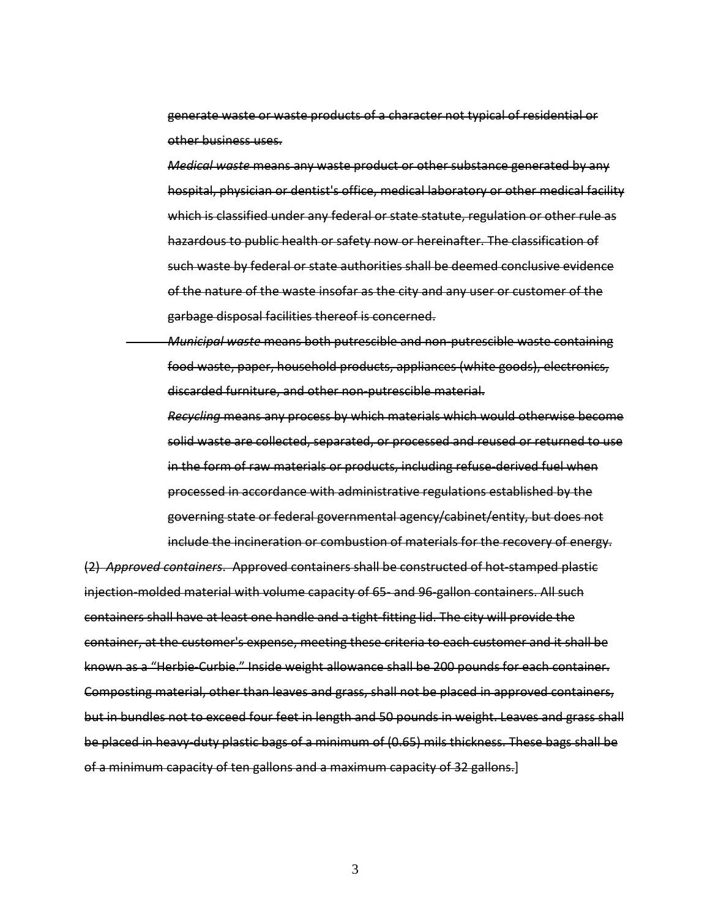generate waste or waste products of a character not typical of residential or other business uses.

*Medical waste* means any waste product or other substance generated by any hospital, physician or dentist's office, medical laboratory or other medical facility which is classified under any federal or state statute, regulation or other rule as hazardous to public health or safety now or hereinafter. The classification of such waste by federal or state authorities shall be deemed conclusive evidence of the nature of the waste insofar as the city and any user or customer of the garbage disposal facilities thereof is concerned.

*Municipal waste* means both putrescible and non-putrescible waste containing food waste, paper, household products, appliances (white goods), electronics, discarded furniture, and other non-putrescible material.

*Recycling* means any process by which materials which would otherwise become solid waste are collected, separated, or processed and reused or returned to use in the form of raw materials or products, including refuse-derived fuel when processed in accordance with administrative regulations established by the governing state or federal governmental agency/cabinet/entity, but does not include the incineration or combustion of materials for the recovery of energy.

(2) *Approved containers*. Approved containers shall be constructed of hot-stamped plastic injection-molded material with volume capacity of 65- and 96-gallon containers. All such containers shall have at least one handle and a tight-fitting lid. The city will provide the container, at the customer's expense, meeting these criteria to each customer and it shall be known as a "Herbie-Curbie." Inside weight allowance shall be 200 pounds for each container. Composting material, other than leaves and grass, shall not be placed in approved containers, but in bundles not to exceed four feet in length and 50 pounds in weight. Leaves and grass shall be placed in heavy-duty plastic bags of a minimum of (0.65) mils thickness. These bags shall be of a minimum capacity of ten gallons and a maximum capacity of 32 gallons.]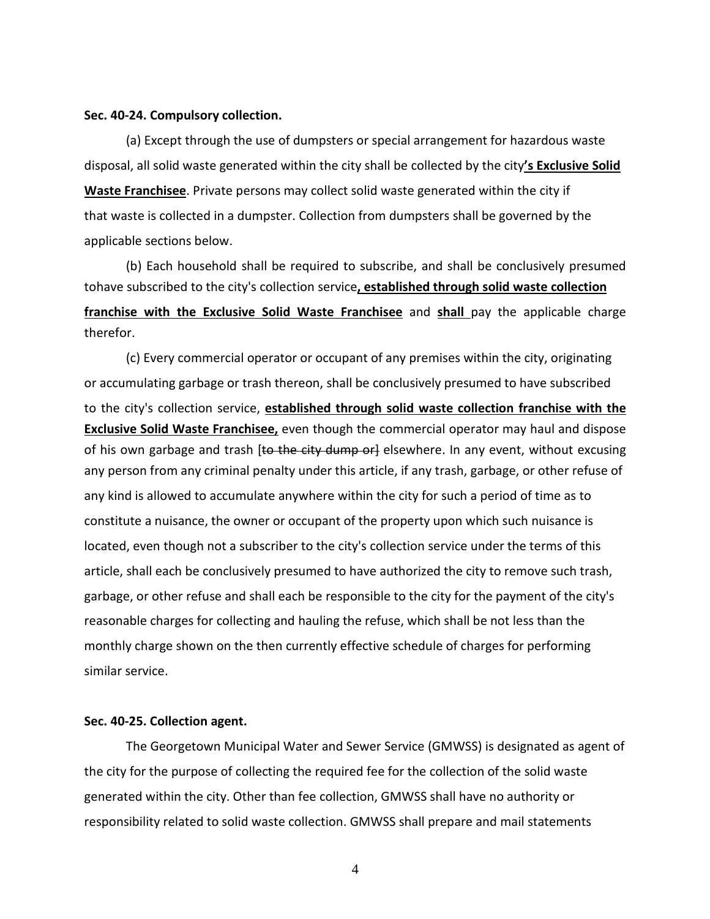#### **Sec. 40-24. Compulsory collection.**

(a) Except through the use of dumpsters or special arrangement for hazardous waste disposal, all solid waste generated within the city shall be collected by the city**'s Exclusive Solid Waste Franchisee**. Private persons may collect solid waste generated within the city if that waste is collected in a dumpster. Collection from dumpsters shall be governed by the applicable sections below.

(b) Each household shall be required to subscribe, and shall be conclusively presumed tohave subscribed to the city's collection service**, established through solid waste collection franchise with the Exclusive Solid Waste Franchisee** and **shall** pay the applicable charge therefor.

(c) Every commercial operator or occupant of any premises within the city, originating or accumulating garbage or trash thereon, shall be conclusively presumed to have subscribed to the city's collection service, **established through solid waste collection franchise with the Exclusive Solid Waste Franchisee,** even though the commercial operator may haul and dispose of his own garbage and trash [to the city dump or] elsewhere. In any event, without excusing any person from any criminal penalty under this article, if any trash, garbage, or other refuse of any kind is allowed to accumulate anywhere within the city for such a period of time as to constitute a nuisance, the owner or occupant of the property upon which such nuisance is located, even though not a subscriber to the city's collection service under the terms of this article, shall each be conclusively presumed to have authorized the city to remove such trash, garbage, or other refuse and shall each be responsible to the city for the payment of the city's reasonable charges for collecting and hauling the refuse, which shall be not less than the monthly charge shown on the then currently effective schedule of charges for performing similar service.

## **Sec. 40-25. Collection agent.**

The Georgetown Municipal Water and Sewer Service (GMWSS) is designated as agent of the city for the purpose of collecting the required fee for the collection of the solid waste generated within the city. Other than fee collection, GMWSS shall have no authority or responsibility related to solid waste collection. GMWSS shall prepare and mail statements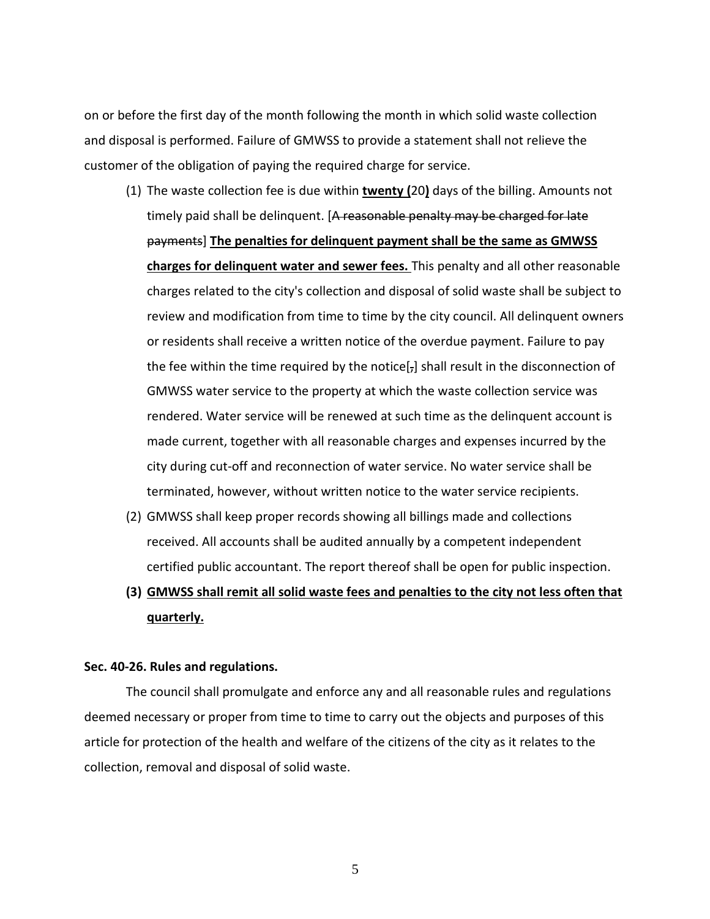on or before the first day of the month following the month in which solid waste collection and disposal is performed. Failure of GMWSS to provide a statement shall not relieve the customer of the obligation of paying the required charge for service.

- (1) The waste collection fee is due within **twenty (**20**)** days of the billing. Amounts not timely paid shall be delinquent. [A reasonable penalty may be charged for late payments] **The penalties for delinquent payment shall be the same as GMWSS charges for delinquent water and sewer fees.** This penalty and all other reasonable charges related to the city's collection and disposal of solid waste shall be subject to review and modification from time to time by the city council. All delinquent owners or residents shall receive a written notice of the overdue payment. Failure to pay the fee within the time required by the notice $[j]$  shall result in the disconnection of GMWSS water service to the property at which the waste collection service was rendered. Water service will be renewed at such time as the delinquent account is made current, together with all reasonable charges and expenses incurred by the city during cut-off and reconnection of water service. No water service shall be terminated, however, without written notice to the water service recipients.
- (2) GMWSS shall keep proper records showing all billings made and collections received. All accounts shall be audited annually by a competent independent certified public accountant. The report thereof shall be open for public inspection.
- **(3) GMWSS shall remit all solid waste fees and penalties to the city not less often that quarterly.**

#### **Sec. 40-26. Rules and regulations.**

The council shall promulgate and enforce any and all reasonable rules and regulations deemed necessary or proper from time to time to carry out the objects and purposes of this article for protection of the health and welfare of the citizens of the city as it relates to the collection, removal and disposal of solid waste.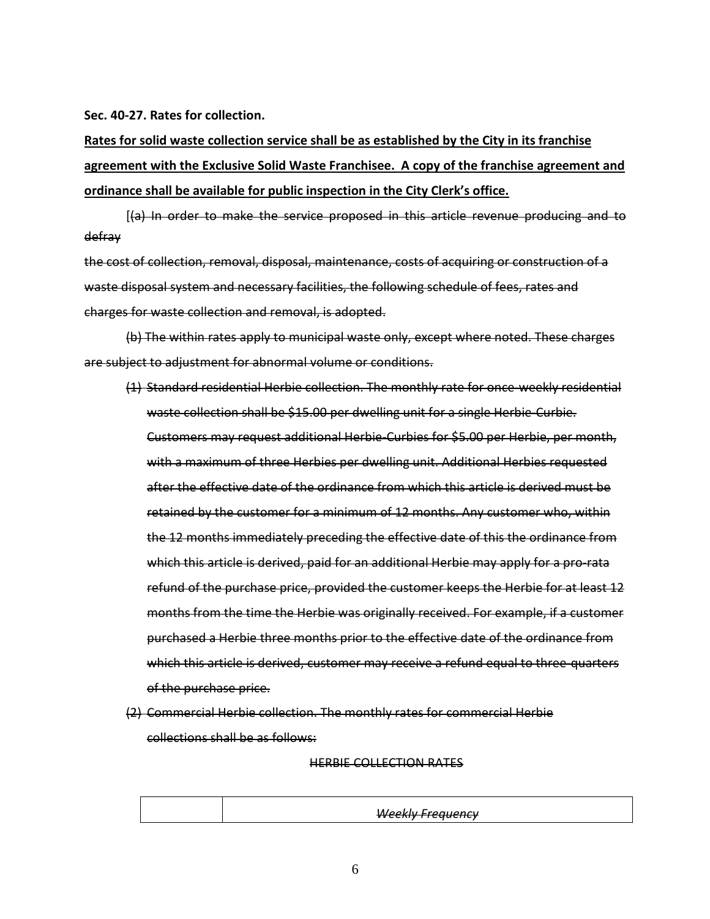**Sec. 40-27. Rates for collection.**

**Rates for solid waste collection service shall be as established by the City in its franchise agreement with the Exclusive Solid Waste Franchisee. A copy of the franchise agreement and ordinance shall be available for public inspection in the City Clerk's office.**

[(a) In order to make the service proposed in this article revenue producing and to defray

the cost of collection, removal, disposal, maintenance, costs of acquiring or construction of a waste disposal system and necessary facilities, the following schedule of fees, rates and charges for waste collection and removal, is adopted.

(b) The within rates apply to municipal waste only, except where noted. These charges are subject to adjustment for abnormal volume or conditions.

- (1) Standard residential Herbie collection. The monthly rate for once-weekly residential waste collection shall be \$15.00 per dwelling unit for a single Herbie-Curbie. Customers may request additional Herbie-Curbies for \$5.00 per Herbie, per month, with a maximum of three Herbies per dwelling unit. Additional Herbies requested after the effective date of the ordinance from which this article is derived must be retained by the customer for a minimum of 12 months. Any customer who, within the 12 months immediately preceding the effective date of this the ordinance from which this article is derived, paid for an additional Herbie may apply for a pro-rata refund of the purchase price, provided the customer keeps the Herbie for at least 12 months from the time the Herbie was originally received. For example, if a customer purchased a Herbie three months prior to the effective date of the ordinance from which this article is derived, customer may receive a refund equal to three-quarters of the purchase price.
- (2) Commercial Herbie collection. The monthly rates for commercial Herbie collections shall be as follows:

#### HERBIE COLLECTION RATES

*Weekly Frequency*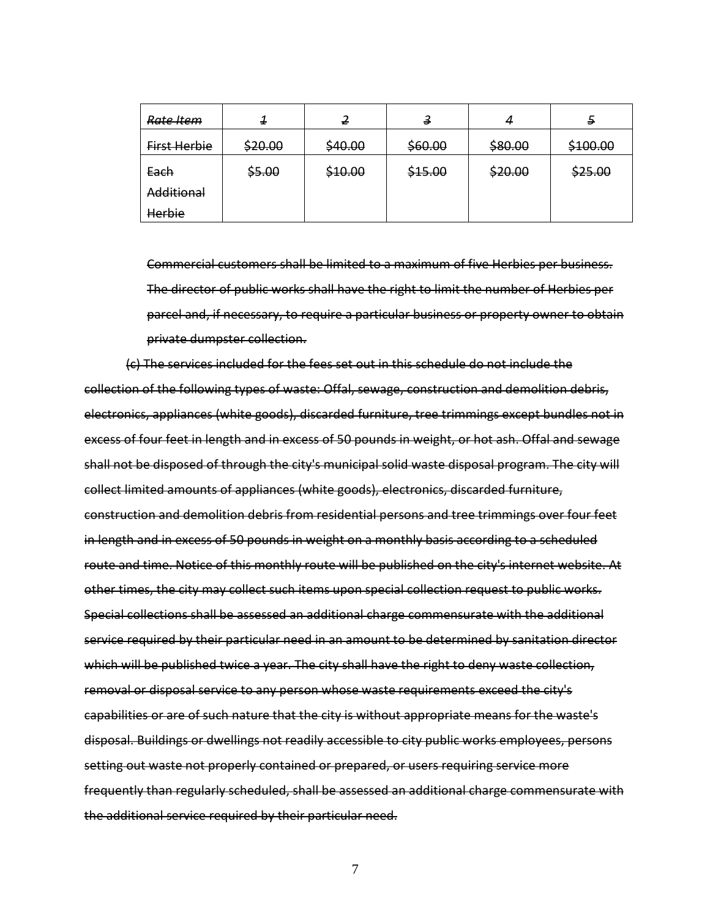| Rate Item    | x       |         | з       | 4       | э        |
|--------------|---------|---------|---------|---------|----------|
| First Herbie | \$20.00 | \$40.00 | \$60.00 | \$80.00 | \$100.00 |
| Each         | \$5.00  | \$10.00 | \$15.00 | \$20.00 | \$25.00  |
| Additional   |         |         |         |         |          |
| Herbie       |         |         |         |         |          |

Commercial customers shall be limited to a maximum of five Herbies per business. The director of public works shall have the right to limit the number of Herbies per parcel and, if necessary, to require a particular business or property owner to obtain private dumpster collection.

(c) The services included for the fees set out in this schedule do not include the collection of the following types of waste: Offal, sewage, construction and demolition debris, electronics, appliances (white goods), discarded furniture, tree trimmings except bundles not in excess of four feet in length and in excess of 50 pounds in weight, or hot ash. Offal and sewage shall not be disposed of through the city's municipal solid waste disposal program. The city will collect limited amounts of appliances (white goods), electronics, discarded furniture, construction and demolition debris from residential persons and tree trimmings over four feet in length and in excess of 50 pounds in weight on a monthly basis according to a scheduled route and time. Notice of this monthly route will be published on the city's internet website. At other times, the city may collect such items upon special collection request to public works. Special collections shall be assessed an additional charge commensurate with the additional service required by their particular need in an amount to be determined by sanitation director which will be published twice a year. The city shall have the right to deny waste collection, removal or disposal service to any person whose waste requirements exceed the city's capabilities or are of such nature that the city is without appropriate means for the waste's disposal. Buildings or dwellings not readily accessible to city public works employees, persons setting out waste not properly contained or prepared, or users requiring service more frequently than regularly scheduled, shall be assessed an additional charge commensurate with the additional service required by their particular need.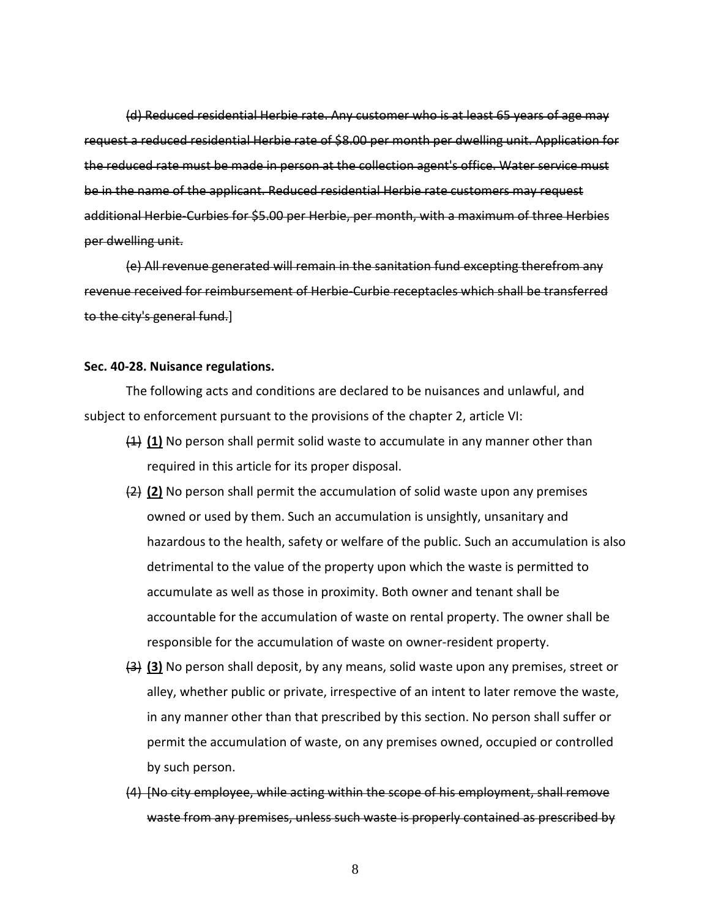(d) Reduced residential Herbie rate. Any customer who is at least 65 years of age may request a reduced residential Herbie rate of \$8.00 per month per dwelling unit. Application for the reduced rate must be made in person at the collection agent's office. Water service must be in the name of the applicant. Reduced residential Herbie rate customers may request additional Herbie-Curbies for \$5.00 per Herbie, per month, with a maximum of three Herbies per dwelling unit.

(e) All revenue generated will remain in the sanitation fund excepting therefrom any revenue received for reimbursement of Herbie-Curbie receptacles which shall be transferred to the city's general fund.]

#### **Sec. 40-28. Nuisance regulations.**

The following acts and conditions are declared to be nuisances and unlawful, and subject to enforcement pursuant to the provisions of the chapter 2, article VI:

- (1) **(1)** No person shall permit solid waste to accumulate in any manner other than required in this article for its proper disposal.
- (2) **(2)** No person shall permit the accumulation of solid waste upon any premises owned or used by them. Such an accumulation is unsightly, unsanitary and hazardous to the health, safety or welfare of the public. Such an accumulation is also detrimental to the value of the property upon which the waste is permitted to accumulate as well as those in proximity. Both owner and tenant shall be accountable for the accumulation of waste on rental property. The owner shall be responsible for the accumulation of waste on owner-resident property.
- (3) **(3)** No person shall deposit, by any means, solid waste upon any premises, street or alley, whether public or private, irrespective of an intent to later remove the waste, in any manner other than that prescribed by this section. No person shall suffer or permit the accumulation of waste, on any premises owned, occupied or controlled by such person.
- (4) [No city employee, while acting within the scope of his employment, shall remove waste from any premises, unless such waste is properly contained as prescribed by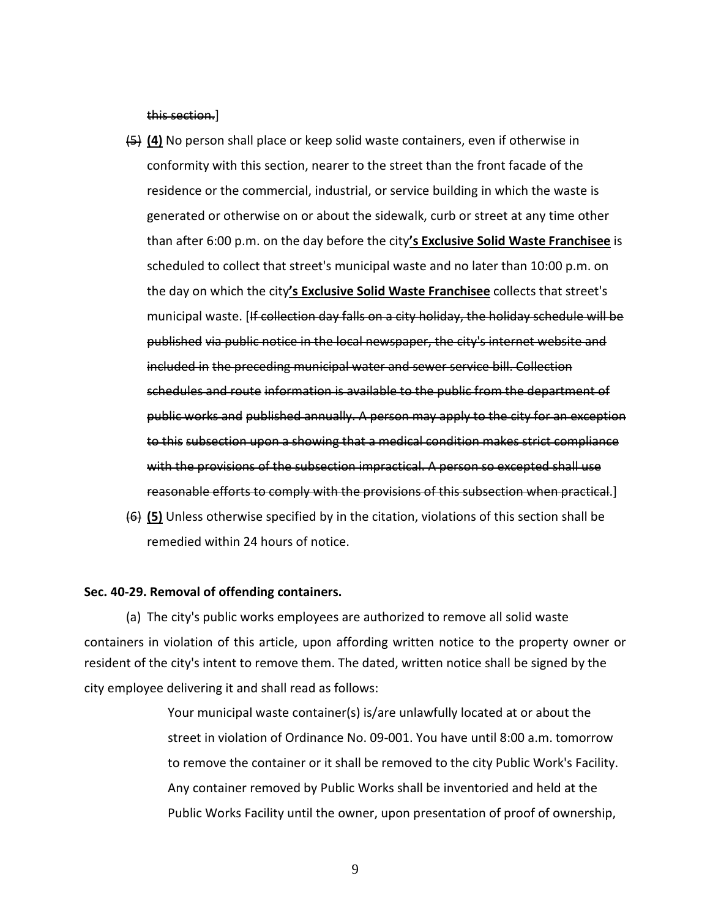this section.]

- (5) **(4)** No person shall place or keep solid waste containers, even if otherwise in conformity with this section, nearer to the street than the front facade of the residence or the commercial, industrial, or service building in which the waste is generated or otherwise on or about the sidewalk, curb or street at any time other than after 6:00 p.m. on the day before the city**'s Exclusive Solid Waste Franchisee** is scheduled to collect that street's municipal waste and no later than 10:00 p.m. on the day on which the city**'s Exclusive Solid Waste Franchisee** collects that street's municipal waste. [If collection day falls on a city holiday, the holiday schedule will be published via public notice in the local newspaper, the city's internet website and included in the preceding municipal water and sewer service bill. Collection schedules and route information is available to the public from the department of public works and published annually. A person may apply to the city for an exception to this subsection upon a showing that a medical condition makes strict compliance with the provisions of the subsection impractical. A person so excepted shall use reasonable efforts to comply with the provisions of this subsection when practical.]
- (6) **(5)** Unless otherwise specified by in the citation, violations of this section shall be remedied within 24 hours of notice.

#### **Sec. 40-29. Removal of offending containers.**

(a) The city's public works employees are authorized to remove all solid waste containers in violation of this article, upon affording written notice to the property owner or resident of the city's intent to remove them. The dated, written notice shall be signed by the city employee delivering it and shall read as follows:

> Your municipal waste container(s) is/are unlawfully located at or about the street in violation of Ordinance No. 09-001. You have until 8:00 a.m. tomorrow to remove the container or it shall be removed to the city Public Work's Facility. Any container removed by Public Works shall be inventoried and held at the Public Works Facility until the owner, upon presentation of proof of ownership,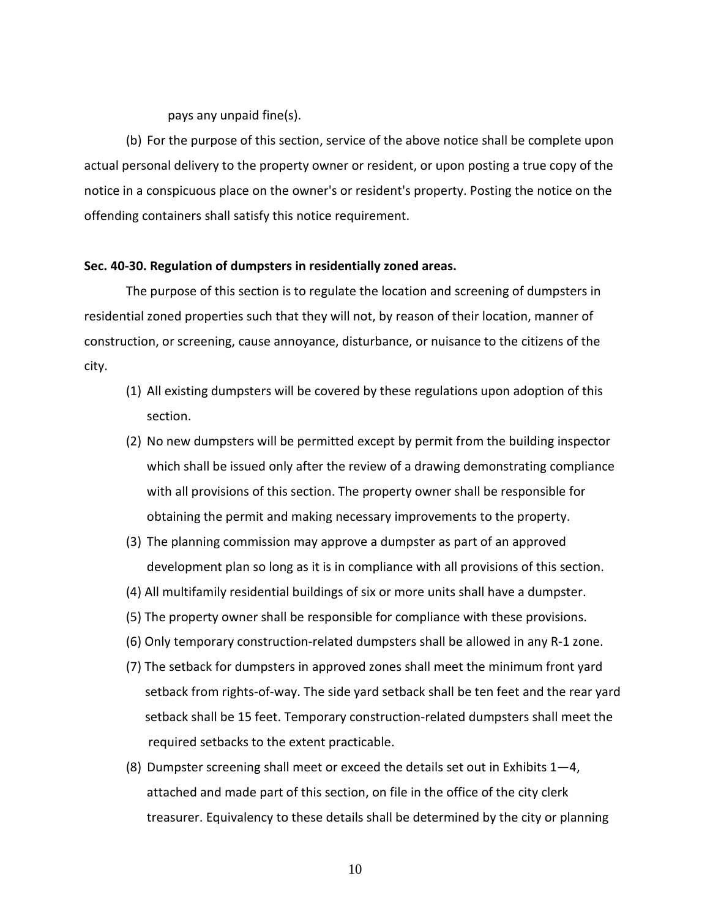pays any unpaid fine(s).

(b) For the purpose of this section, service of the above notice shall be complete upon actual personal delivery to the property owner or resident, or upon posting a true copy of the notice in a conspicuous place on the owner's or resident's property. Posting the notice on the offending containers shall satisfy this notice requirement.

#### **Sec. 40-30. Regulation of dumpsters in residentially zoned areas.**

The purpose of this section is to regulate the location and screening of dumpsters in residential zoned properties such that they will not, by reason of their location, manner of construction, or screening, cause annoyance, disturbance, or nuisance to the citizens of the city.

- (1) All existing dumpsters will be covered by these regulations upon adoption of this section.
- (2) No new dumpsters will be permitted except by permit from the building inspector which shall be issued only after the review of a drawing demonstrating compliance with all provisions of this section. The property owner shall be responsible for obtaining the permit and making necessary improvements to the property.
- (3) The planning commission may approve a dumpster as part of an approved development plan so long as it is in compliance with all provisions of this section.
- (4) All multifamily residential buildings of six or more units shall have a dumpster.
- (5) The property owner shall be responsible for compliance with these provisions.
- (6) Only temporary construction-related dumpsters shall be allowed in any R-1 zone.
- (7) The setback for dumpsters in approved zones shall meet the minimum front yard setback from rights-of-way. The side yard setback shall be ten feet and the rear yard setback shall be 15 feet. Temporary construction-related dumpsters shall meet the required setbacks to the extent practicable.
- (8) Dumpster screening shall meet or exceed the details set out in Exhibits  $1-4$ , attached and made part of this section, on file in the office of the city clerk treasurer. Equivalency to these details shall be determined by the city or planning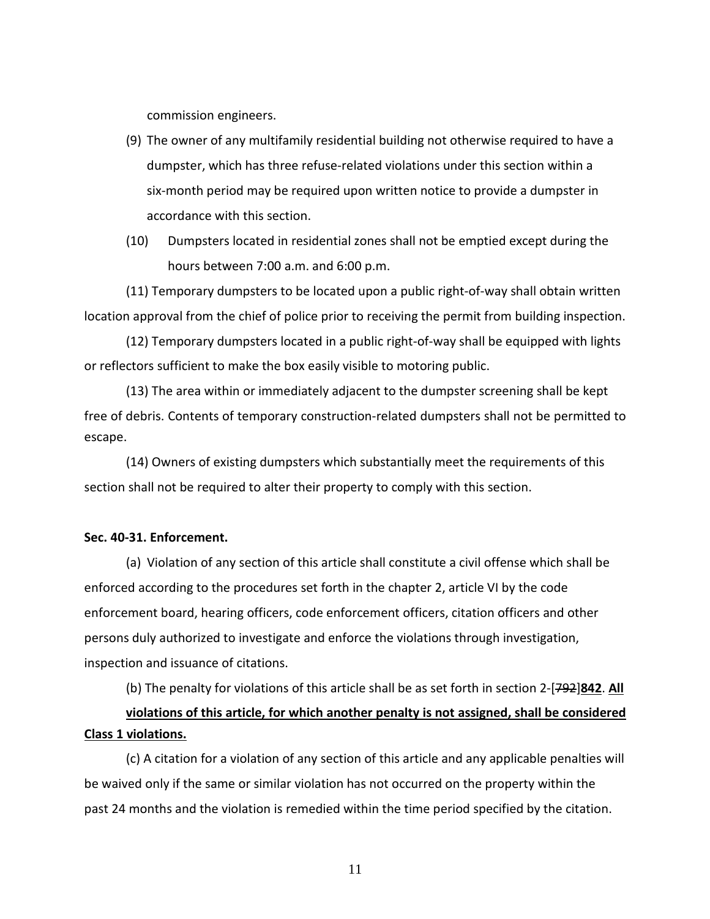commission engineers.

- (9) The owner of any multifamily residential building not otherwise required to have a dumpster, which has three refuse-related violations under this section within a six-month period may be required upon written notice to provide a dumpster in accordance with this section.
- (10) Dumpsters located in residential zones shall not be emptied except during the hours between 7:00 a.m. and 6:00 p.m.

(11) Temporary dumpsters to be located upon a public right-of-way shall obtain written location approval from the chief of police prior to receiving the permit from building inspection.

(12) Temporary dumpsters located in a public right-of-way shall be equipped with lights or reflectors sufficient to make the box easily visible to motoring public.

(13) The area within or immediately adjacent to the dumpster screening shall be kept free of debris. Contents of temporary construction-related dumpsters shall not be permitted to escape.

(14) Owners of existing dumpsters which substantially meet the requirements of this section shall not be required to alter their property to comply with this section.

## **Sec. 40-31. Enforcement.**

(a) Violation of any section of this article shall constitute a civil offense which shall be enforced according to the procedures set forth in the chapter 2, article VI by the code enforcement board, hearing officers, code enforcement officers, citation officers and other persons duly authorized to investigate and enforce the violations through investigation, inspection and issuance of citations.

(b) The penalty for violations of this article shall be as set forth in section 2-[792]**842**. **All violations of this article, for which another penalty is not assigned, shall be considered Class 1 violations.**

(c) A citation for a violation of any section of this article and any applicable penalties will be waived only if the same or similar violation has not occurred on the property within the past 24 months and the violation is remedied within the time period specified by the citation.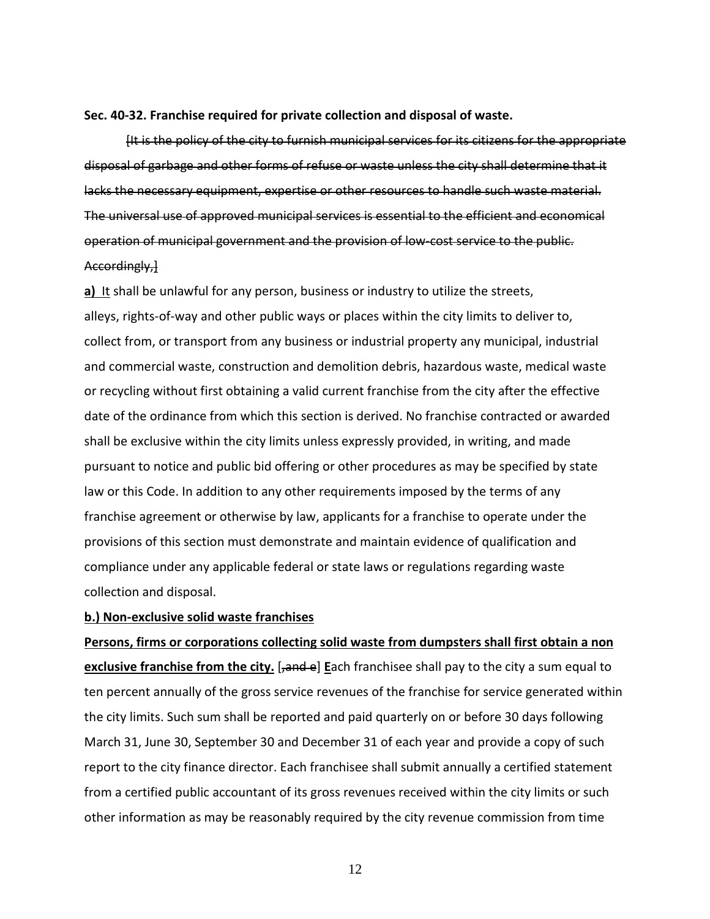#### **Sec. 40-32. Franchise required for private collection and disposal of waste.**

[It is the policy of the city to furnish municipal services for its citizens for the appropriate disposal of garbage and other forms of refuse or waste unless the city shall determine that it lacks the necessary equipment, expertise or other resources to handle such waste material. The universal use of approved municipal services is essential to the efficient and economical operation of municipal government and the provision of low-cost service to the public. Accordingly,]

**a)** It shall be unlawful for any person, business or industry to utilize the streets, alleys, rights-of-way and other public ways or places within the city limits to deliver to, collect from, or transport from any business or industrial property any municipal, industrial and commercial waste, construction and demolition debris, hazardous waste, medical waste or recycling without first obtaining a valid current franchise from the city after the effective date of the ordinance from which this section is derived. No franchise contracted or awarded shall be exclusive within the city limits unless expressly provided, in writing, and made pursuant to notice and public bid offering or other procedures as may be specified by state law or this Code. In addition to any other requirements imposed by the terms of any franchise agreement or otherwise by law, applicants for a franchise to operate under the provisions of this section must demonstrate and maintain evidence of qualification and compliance under any applicable federal or state laws or regulations regarding waste collection and disposal.

## **b.) Non-exclusive solid waste franchises**

**Persons, firms or corporations collecting solid waste from dumpsters shall first obtain a non exclusive franchise from the city.** [<del>,and e</del>] **Each franchisee shall pay to the city a sum equal to** ten percent annually of the gross service revenues of the franchise for service generated within the city limits. Such sum shall be reported and paid quarterly on or before 30 days following March 31, June 30, September 30 and December 31 of each year and provide a copy of such report to the city finance director. Each franchisee shall submit annually a certified statement from a certified public accountant of its gross revenues received within the city limits or such other information as may be reasonably required by the city revenue commission from time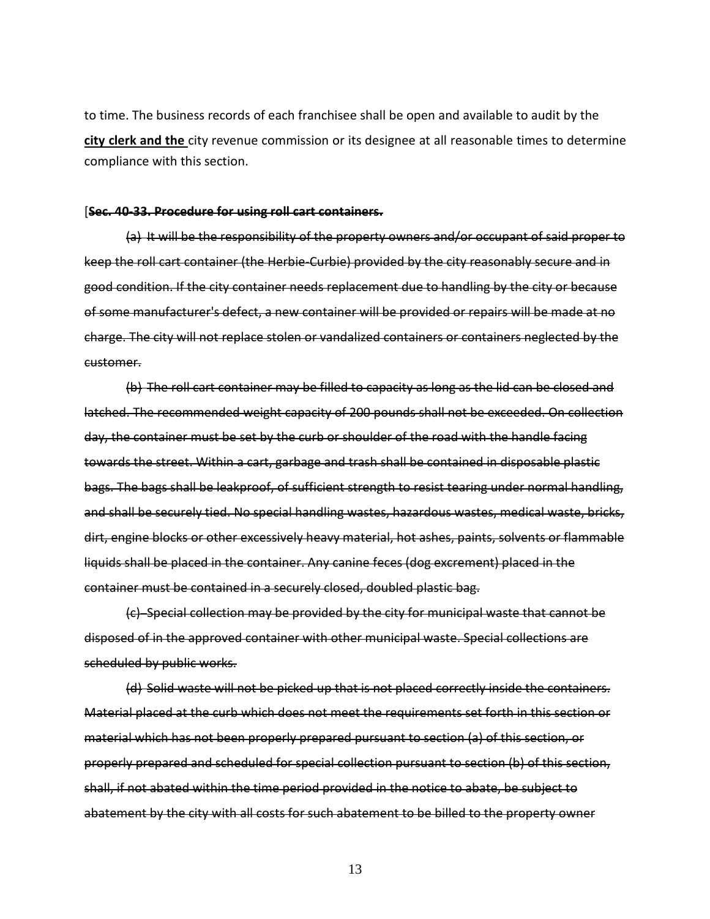to time. The business records of each franchisee shall be open and available to audit by the **city clerk and the** city revenue commission or its designee at all reasonable times to determine compliance with this section.

#### [**Sec. 40-33. Procedure for using roll cart containers.**

(a) It will be the responsibility of the property owners and/or occupant of said proper to keep the roll cart container (the Herbie-Curbie) provided by the city reasonably secure and in good condition. If the city container needs replacement due to handling by the city or because of some manufacturer's defect, a new container will be provided or repairs will be made at no charge. The city will not replace stolen or vandalized containers or containers neglected by the customer.

(b) The roll cart container may be filled to capacity as long as the lid can be closed and latched. The recommended weight capacity of 200 pounds shall not be exceeded. On collection day, the container must be set by the curb or shoulder of the road with the handle facing towards the street. Within a cart, garbage and trash shall be contained in disposable plastic bags. The bags shall be leakproof, of sufficient strength to resist tearing under normal handling, and shall be securely tied. No special handling wastes, hazardous wastes, medical waste, bricks, dirt, engine blocks or other excessively heavy material, hot ashes, paints, solvents or flammable liquids shall be placed in the container. Any canine feces (dog excrement) placed in the container must be contained in a securely closed, doubled plastic bag.

(c) Special collection may be provided by the city for municipal waste that cannot be disposed of in the approved container with other municipal waste. Special collections are scheduled by public works.

(d) Solid waste will not be picked up that is not placed correctly inside the containers. Material placed at the curb which does not meet the requirements set forth in this section or material which has not been properly prepared pursuant to section (a) of this section, or properly prepared and scheduled for special collection pursuant to section (b) of this section, shall, if not abated within the time period provided in the notice to abate, be subject to abatement by the city with all costs for such abatement to be billed to the property owner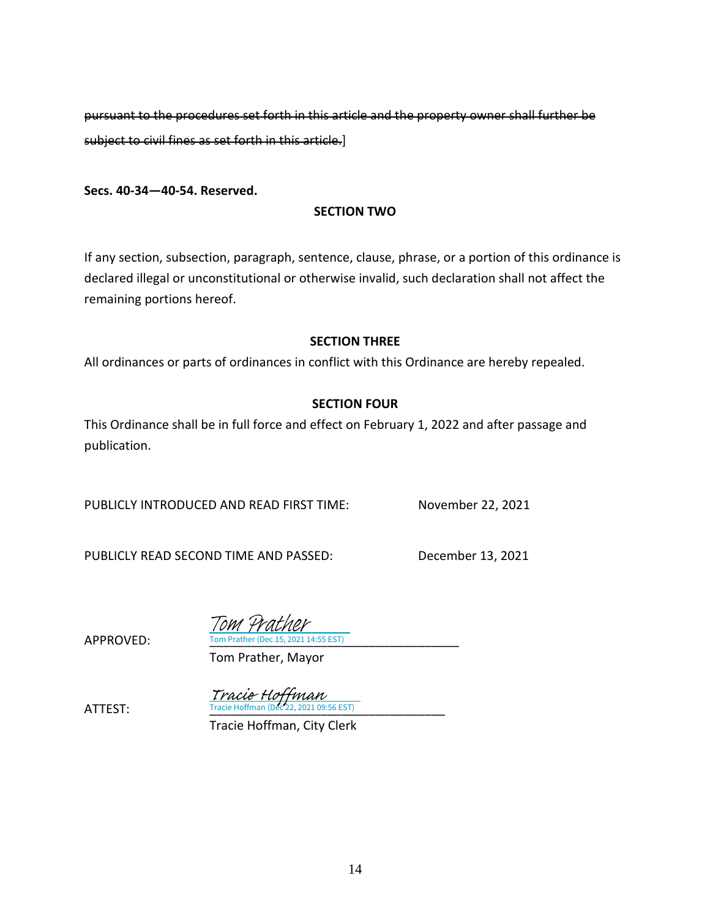pursuant to the procedures set forth in this article and the property owner shall further be subject to civil fines as set forth in this article.]

**Secs. 40-34—40-54. Reserved.**

## **SECTION TWO**

If any section, subsection, paragraph, sentence, clause, phrase, or a portion of this ordinance is declared illegal or unconstitutional or otherwise invalid, such declaration shall not affect the remaining portions hereof.

## **SECTION THREE**

All ordinances or parts of ordinances in conflict with this Ordinance are hereby repealed.

## **SECTION FOUR**

This Ordinance shall be in full force and effect on February 1, 2022 and after passage and publication.

PUBLICLY INTRODUCED AND READ FIRST TIME: November 22, 2021

PUBLICLY READ SECOND TIME AND PASSED: December 13, 2021

APPROVED: Tom Prather (Dec 15, 2021 14:55 EST) Tom Prather

Tom Prather, Mayor

**ATTEST:** Tracie Hoffman (Dec 22, 2021 09:56 EST) Tracie Hoffman<br>Tracie Hoffman (Dec 22-2021-09-

Tracie Hoffman, City Clerk